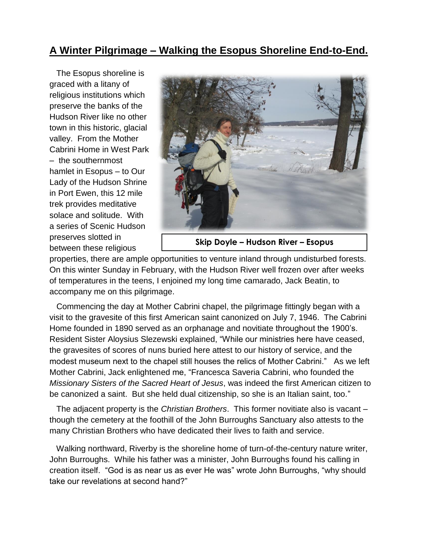## **A Winter Pilgrimage – Walking the Esopus Shoreline End-to-End.**

 The Esopus shoreline is graced with a litany of religious institutions which preserve the banks of the Hudson River like no other town in this historic, glacial valley. From the Mother Cabrini Home in West Park – the southernmost hamlet in Esopus – to Our Lady of the Hudson Shrine in Port Ewen, this 12 mile trek provides meditative solace and solitude. With a series of Scenic Hudson preserves slotted in between these religious



**Skip Doyle – Hudson River – Esopus**

properties, there are ample opportunities to venture inland through undisturbed forests. On this winter Sunday in February, with the Hudson River well frozen over after weeks of temperatures in the teens, I enjoined my long time camarado, Jack Beatin, to accompany me on this pilgrimage.

 Commencing the day at Mother Cabrini chapel, the pilgrimage fittingly began with a visit to the gravesite of this first American saint canonized on July 7, 1946. The Cabrini Home founded in 1890 served as an orphanage and novitiate throughout the 1900's. Resident Sister Aloysius Slezewski explained, "While our ministries here have ceased, the gravesites of scores of nuns buried here attest to our history of service, and the modest museum next to the chapel still houses the relics of Mother Cabrini." As we left Mother Cabrini, Jack enlightened me, "Francesca Saveria Cabrini, who founded the *Missionary Sisters of the Sacred Heart of Jesus*, was indeed the first American citizen to be canonized a saint. But she held dual citizenship, so she is an Italian saint, too."

 The adjacent property is the *Christian Brothers*. This former novitiate also is vacant – though the cemetery at the foothill of the John Burroughs Sanctuary also attests to the many Christian Brothers who have dedicated their lives to faith and service.

 Walking northward, Riverby is the shoreline home of turn-of-the-century nature writer, John Burroughs. While his father was a minister, John Burroughs found his calling in creation itself. "God is as near us as ever He was" wrote John Burroughs, "why should take our revelations at second hand?"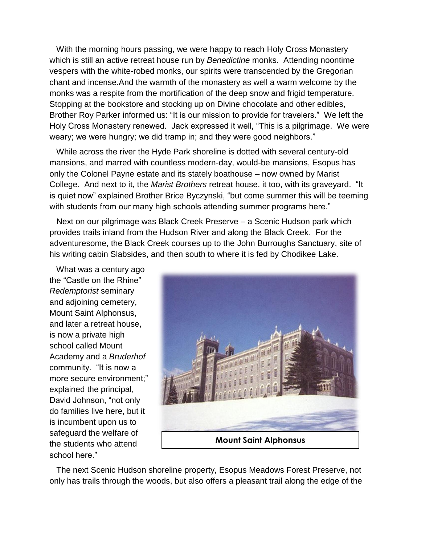With the morning hours passing, we were happy to reach Holy Cross Monastery which is still an active retreat house run by *Benedictine* monks. Attending noontime vespers with the white-robed monks, our spirits were transcended by the Gregorian chant and incense.And the warmth of the monastery as well a warm welcome by the monks was a respite from the mortification of the deep snow and frigid temperature. Stopping at the bookstore and stocking up on Divine chocolate and other edibles, Brother Roy Parker informed us: "It is our mission to provide for travelers." We left the Holy Cross Monastery renewed. Jack expressed it well, "This is a pilgrimage. We were weary; we were hungry; we did tramp in; and they were good neighbors."

 While across the river the Hyde Park shoreline is dotted with several century-old mansions, and marred with countless modern-day, would-be mansions, Esopus has only the Colonel Payne estate and its stately boathouse – now owned by Marist College. And next to it, the *Marist Brothers* retreat house, it too, with its graveyard. "It is quiet now" explained Brother Brice Byczynski, "but come summer this will be teeming with students from our many high schools attending summer programs here."

 Next on our pilgrimage was Black Creek Preserve – a Scenic Hudson park which provides trails inland from the Hudson River and along the Black Creek. For the adventuresome, the Black Creek courses up to the John Burroughs Sanctuary, site of his writing cabin Slabsides, and then south to where it is fed by Chodikee Lake.

 What was a century ago the "Castle on the Rhine" *Redemptorist* seminary and adjoining cemetery, Mount Saint Alphonsus, and later a retreat house, is now a private high school called Mount Academy and a *Bruderhof* community. "It is now a more secure environment;" explained the principal, David Johnson, "not only do families live here, but it is incumbent upon us to safeguard the welfare of the students who attend school here."



 The next Scenic Hudson shoreline property, Esopus Meadows Forest Preserve, not only has trails through the woods, but also offers a pleasant trail along the edge of the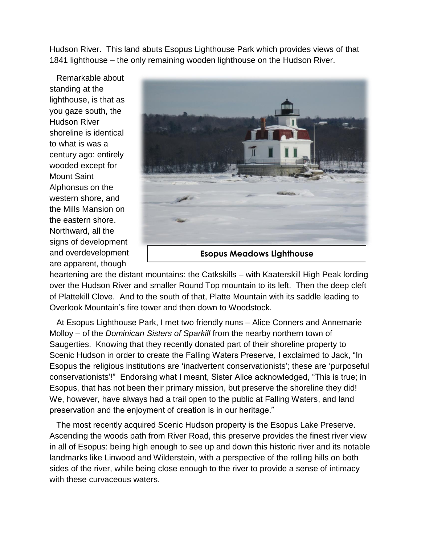Hudson River. This land abuts Esopus Lighthouse Park which provides views of that 1841 lighthouse – the only remaining wooden lighthouse on the Hudson River.

 Remarkable about standing at the lighthouse, is that as you gaze south, the Hudson River shoreline is identical to what is was a century ago: entirely wooded except for Mount Saint Alphonsus on the western shore, and the Mills Mansion on the eastern shore. Northward, all the signs of development and overdevelopment are apparent, though



heartening are the distant mountains: the Catkskills – with Kaaterskill High Peak lording over the Hudson River and smaller Round Top mountain to its left. Then the deep cleft of Plattekill Clove. And to the south of that, Platte Mountain with its saddle leading to Overlook Mountain's fire tower and then down to Woodstock.

 At Esopus Lighthouse Park, I met two friendly nuns – Alice Conners and Annemarie Molloy – of the *Dominican Sisters of Sparkill* from the nearby northern town of Saugerties. Knowing that they recently donated part of their shoreline property to Scenic Hudson in order to create the Falling Waters Preserve, I exclaimed to Jack, "In Esopus the religious institutions are 'inadvertent conservationists'; these are 'purposeful conservationists'!" Endorsing what I meant, Sister Alice acknowledged, "This is true; in Esopus, that has not been their primary mission, but preserve the shoreline they did! We, however, have always had a trail open to the public at Falling Waters, and land preservation and the enjoyment of creation is in our heritage."

 The most recently acquired Scenic Hudson property is the Esopus Lake Preserve. Ascending the woods path from River Road, this preserve provides the finest river view in all of Esopus: being high enough to see up and down this historic river and its notable landmarks like Linwood and Wilderstein, with a perspective of the rolling hills on both sides of the river, while being close enough to the river to provide a sense of intimacy with these curvaceous waters.